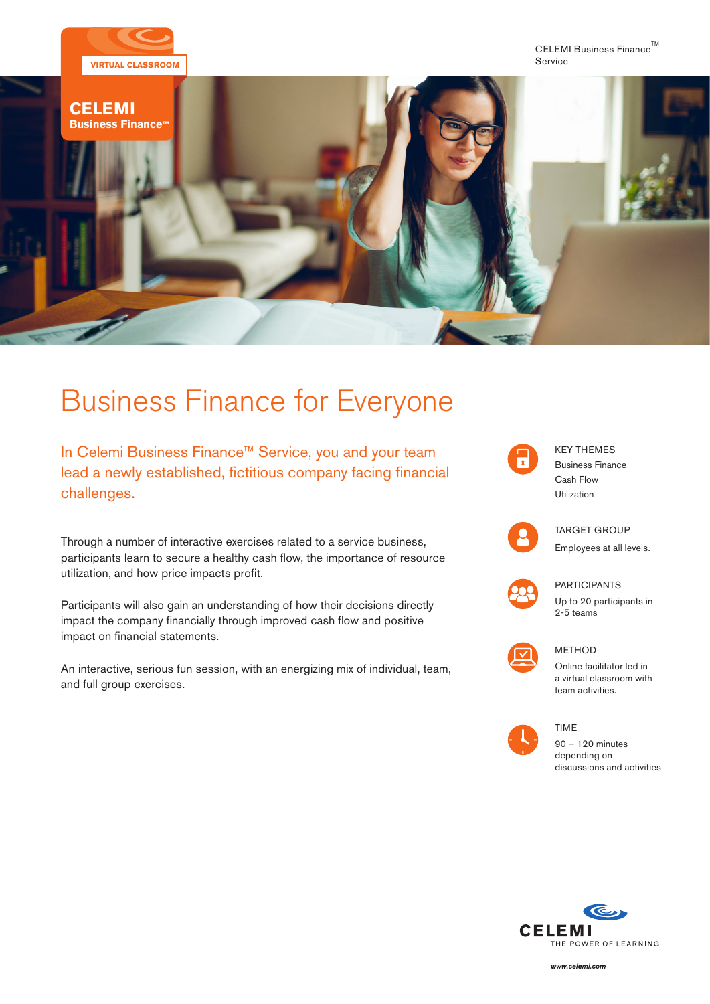

# Business Finance for Everyone

In Celemi Business Finance™ Service, you and your team lead a newly established, fictitious company facing financial challenges.

Through a number of interactive exercises related to a service business, participants learn to secure a healthy cash flow, the importance of resource utilization, and how price impacts profit.

Participants will also gain an understanding of how their decisions directly impact the company financially through improved cash flow and positive impact on financial statements.

An interactive, serious fun session, with an energizing mix of individual, team, and full group exercises.





PARTICIPANTS

Up to 20 participants in 2-5 teams

## **METHOD**

TIME

Online facilitator led in a virtual classroom with team activities.



90 – 120 minutes depending on discussions and activities



www.celemi.com